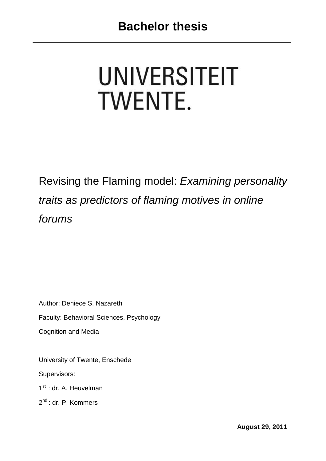# **UNIVERSITEIT TWENTE.**

Revising the Flaming model: *Examining personality traits as predictors of flaming motives in online forums*

Author: Deniece S. Nazareth Faculty: Behavioral Sciences, Psychology Cognition and Media

University of Twente, Enschede

Supervisors:

1<sup>st</sup> : dr. A. Heuvelman

2<sup>nd</sup>: dr. P. Kommers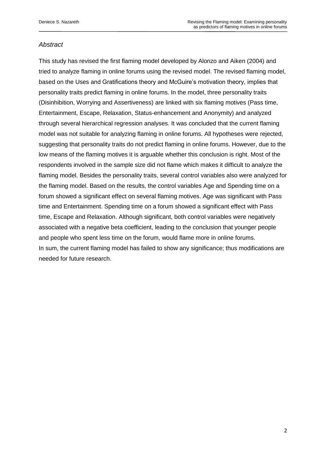# *Abstract*

This study has revised the first flaming model developed by Alonzo and Aiken (2004) and tried to analyze flaming in online forums using the revised model. The revised flaming model, based on the Uses and Gratifications theory and McGuire's motivation theory, implies that personality traits predict flaming in online forums. In the model, three personality traits (Disinhibition, Worrying and Assertiveness) are linked with six flaming motives (Pass time, Entertainment, Escape, Relaxation, Status-enhancement and Anonymity) and analyzed through several hierarchical regression analyses. It was concluded that the current flaming model was not suitable for analyzing flaming in online forums. All hypotheses were rejected, suggesting that personality traits do not predict flaming in online forums. However, due to the low means of the flaming motives it is arguable whether this conclusion is right. Most of the respondents involved in the sample size did not flame which makes it difficult to analyze the flaming model. Besides the personality traits, several control variables also were analyzed for the flaming model. Based on the results, the control variables Age and Spending time on a forum showed a significant effect on several flaming motives. Age was significant with Pass time and Entertainment. Spending time on a forum showed a significant effect with Pass time, Escape and Relaxation. Although significant, both control variables were negatively associated with a negative beta coefficient, leading to the conclusion that younger people and people who spent less time on the forum, would flame more in online forums. In sum, the current flaming model has failed to show any significance; thus modifications are needed for future research.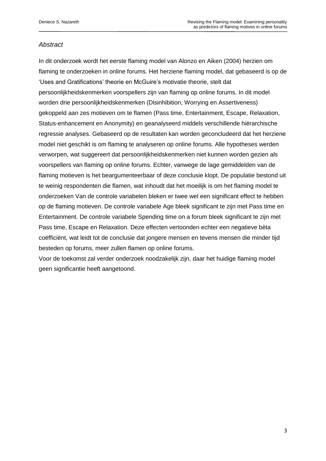# *Abstract*

In dit onderzoek wordt het eerste flaming model van Alonzo en Aiken (2004) herzien om flaming te onderzoeken in online forums. Het herziene flaming model, dat gebaseerd is op de 'Uses and Gratifications' theorie en McGuire's motivatie theorie, stelt dat persoonlijkheidskenmerken voorspellers zijn van flaming op online forums. In dit model worden drie persoonlijkheidskenmerken (Disinhibition, Worrying en Assertiveness) gekoppeld aan zes motieven om te flamen (Pass time, Entertainment, Escape, Relaxation, Status-enhancement en Anonymity) en geanalyseerd middels verschillende hiërarchische regressie analyses. Gebaseerd op de resultaten kan worden geconcludeerd dat het herziene model niet geschikt is om flaming te analyseren op online forums. Alle hypotheses werden verworpen, wat suggereert dat persoonlijkheidskenmerken niet kunnen worden gezien als voorspellers van flaming op online forums. Echter, vanwege de lage gemiddelden van de flaming motieven is het beargumenteerbaar of deze conclusie klopt. De populatie bestond uit te weinig respondenten die flamen, wat inhoudt dat het moeilijk is om het flaming model te onderzoeken Van de controle variabelen bleken er twee wel een significant effect te hebben op de flaming motieven. De controle variabele Age bleek significant te zijn met Pass time en Entertainment. De controle variabele Spending time on a forum bleek significant te zijn met Pass time, Escape en Relaxation. Deze effecten vertoonden echter een negatieve bèta coëfficiënt, wat leidt tot de conclusie dat jongere mensen en tevens mensen die minder tijd besteden op forums, meer zullen flamen op online forums.

Voor de toekomst zal verder onderzoek noodzakelijk zijn, daar het huidige flaming model geen significantie heeft aangetoond.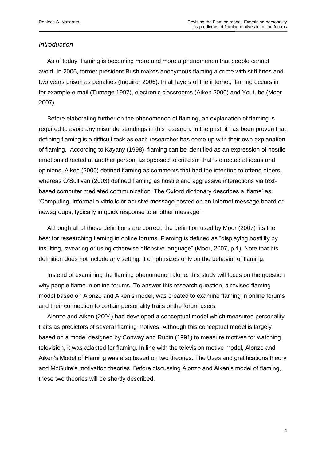# *Introduction*

 As of today, flaming is becoming more and more a phenomenon that people cannot avoid. In 2006, former president Bush makes anonymous flaming a crime with stiff fines and two years prison as penalties (Inquirer 2006). In all layers of the internet, flaming occurs in for example e-mail (Turnage 1997), electronic classrooms (Aiken 2000) and Youtube (Moor 2007).

 Before elaborating further on the phenomenon of flaming, an explanation of flaming is required to avoid any misunderstandings in this research. In the past, it has been proven that defining flaming is a difficult task as each researcher has come up with their own explanation of flaming. According to Kayany (1998), flaming can be identified as an expression of hostile emotions directed at another person, as opposed to criticism that is directed at ideas and opinions. Aiken (2000) defined flaming as comments that had the intention to offend others, whereas O"Sullivan (2003) defined flaming as hostile and aggressive interactions via textbased computer mediated communication. The Oxford dictionary describes a "flame" as: "Computing, informal a vitriolic or abusive message posted on an Internet message board or newsgroups, typically in quick response to another message".

 Although all of these definitions are correct, the definition used by Moor (2007) fits the best for researching flaming in online forums. Flaming is defined as "displaying hostility by insulting, swearing or using otherwise offensive language" (Moor, 2007, p.1). Note that his definition does not include any setting, it emphasizes only on the behavior of flaming.

 Instead of examining the flaming phenomenon alone, this study will focus on the question why people flame in online forums. To answer this research question, a revised flaming model based on Alonzo and Aiken"s model, was created to examine flaming in online forums and their connection to certain personality traits of the forum users.

 Alonzo and Aiken (2004) had developed a conceptual model which measured personality traits as predictors of several flaming motives. Although this conceptual model is largely based on a model designed by Conway and Rubin (1991) to measure motives for watching television, it was adapted for flaming. In line with the television motive model, Alonzo and Aiken"s Model of Flaming was also based on two theories: The Uses and gratifications theory and McGuire"s motivation theories. Before discussing Alonzo and Aiken"s model of flaming, these two theories will be shortly described.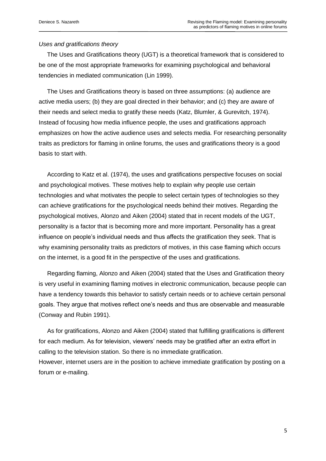## *Uses and gratifications theory*

 The Uses and Gratifications theory (UGT) is a theoretical framework that is considered to be one of the most appropriate frameworks for examining psychological and behavioral tendencies in mediated communication (Lin 1999).

 The Uses and Gratifications theory is based on three assumptions: (a) audience are active media users; (b) they are goal directed in their behavior; and (c) they are aware of their needs and select media to gratify these needs (Katz, Blumler, & Gurevitch, 1974). Instead of focusing how media influence people, the uses and gratifications approach emphasizes on how the active audience uses and selects media. For researching personality traits as predictors for flaming in online forums, the uses and gratifications theory is a good basis to start with.

 According to Katz et al. (1974), the uses and gratifications perspective focuses on social and psychological motives. These motives help to explain why people use certain technologies and what motivates the people to select certain types of technologies so they can achieve gratifications for the psychological needs behind their motives. Regarding the psychological motives, Alonzo and Aiken (2004) stated that in recent models of the UGT, personality is a factor that is becoming more and more important. Personality has a great influence on people"s individual needs and thus affects the gratification they seek. That is why examining personality traits as predictors of motives, in this case flaming which occurs on the internet, is a good fit in the perspective of the uses and gratifications.

 Regarding flaming, Alonzo and Aiken (2004) stated that the Uses and Gratification theory is very useful in examining flaming motives in electronic communication, because people can have a tendency towards this behavior to satisfy certain needs or to achieve certain personal goals. They argue that motives reflect one"s needs and thus are observable and measurable (Conway and Rubin 1991).

 As for gratifications, Alonzo and Aiken (2004) stated that fulfilling gratifications is different for each medium. As for television, viewers" needs may be gratified after an extra effort in calling to the television station. So there is no immediate gratification.

However, internet users are in the position to achieve immediate gratification by posting on a forum or e-mailing.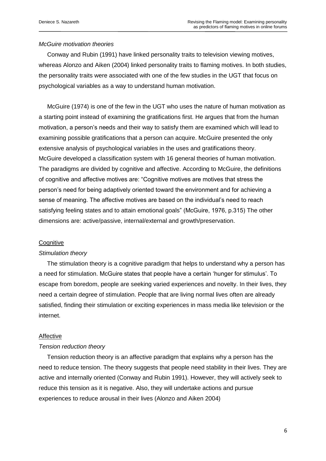# *McGuire motivation theories*

 Conway and Rubin (1991) have linked personality traits to television viewing motives, whereas Alonzo and Aiken (2004) linked personality traits to flaming motives. In both studies, the personality traits were associated with one of the few studies in the UGT that focus on psychological variables as a way to understand human motivation.

 McGuire (1974) is one of the few in the UGT who uses the nature of human motivation as a starting point instead of examining the gratifications first. He argues that from the human motivation, a person"s needs and their way to satisfy them are examined which will lead to examining possible gratifications that a person can acquire. McGuire presented the only extensive analysis of psychological variables in the uses and gratifications theory. McGuire developed a classification system with 16 general theories of human motivation. The paradigms are divided by cognitive and affective. According to McGuire, the definitions of cognitive and affective motives are: "Cognitive motives are motives that stress the person"s need for being adaptively oriented toward the environment and for achieving a sense of meaning. The affective motives are based on the individual"s need to reach satisfying feeling states and to attain emotional goals" (McGuire, 1976, p.315) The other dimensions are: active/passive, internal/external and growth/preservation.

#### **Cognitive**

#### *Stimulation theory*

 The stimulation theory is a cognitive paradigm that helps to understand why a person has a need for stimulation. McGuire states that people have a certain "hunger for stimulus". To escape from boredom, people are seeking varied experiences and novelty. In their lives, they need a certain degree of stimulation. People that are living normal lives often are already satisfied, finding their stimulation or exciting experiences in mass media like television or the internet.

#### Affective

#### *Tension reduction theory*

 Tension reduction theory is an affective paradigm that explains why a person has the need to reduce tension. The theory suggests that people need stability in their lives. They are active and internally oriented (Conway and Rubin 1991). However, they will actively seek to reduce this tension as it is negative. Also, they will undertake actions and pursue experiences to reduce arousal in their lives (Alonzo and Aiken 2004)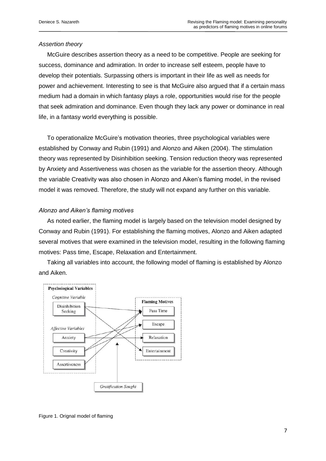#### *Assertion theory*

 McGuire describes assertion theory as a need to be competitive. People are seeking for success, dominance and admiration. In order to increase self esteem, people have to develop their potentials. Surpassing others is important in their life as well as needs for power and achievement. Interesting to see is that McGuire also argued that if a certain mass medium had a domain in which fantasy plays a role, opportunities would rise for the people that seek admiration and dominance. Even though they lack any power or dominance in real life, in a fantasy world everything is possible.

 To operationalize McGuire"s motivation theories, three psychological variables were established by Conway and Rubin (1991) and Alonzo and Aiken (2004). The stimulation theory was represented by Disinhibition seeking. Tension reduction theory was represented by Anxiety and Assertiveness was chosen as the variable for the assertion theory. Although the variable Creativity was also chosen in Alonzo and Aiken"s flaming model, in the revised model it was removed. Therefore, the study will not expand any further on this variable.

#### *Alonzo and Aiken's flaming motives*

 As noted earlier, the flaming model is largely based on the television model designed by Conway and Rubin (1991). For establishing the flaming motives, Alonzo and Aiken adapted several motives that were examined in the television model, resulting in the following flaming motives: Pass time, Escape, Relaxation and Entertainment.

 Taking all variables into account, the following model of flaming is established by Alonzo and Aiken.



Figure 1. Orignal model of flaming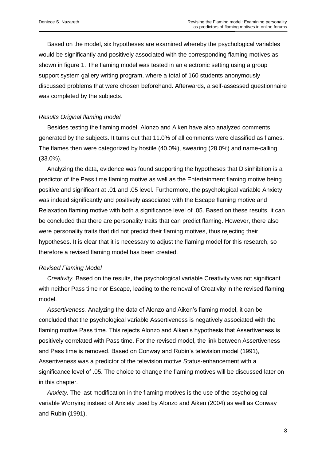Based on the model, six hypotheses are examined whereby the psychological variables would be significantly and positively associated with the corresponding flaming motives as shown in figure 1. The flaming model was tested in an electronic setting using a group support system gallery writing program, where a total of 160 students anonymously discussed problems that were chosen beforehand. Afterwards, a self-assessed questionnaire was completed by the subjects.

#### *Results Original flaming model*

 Besides testing the flaming model, Alonzo and Aiken have also analyzed comments generated by the subjects. It turns out that 11.0% of all comments were classified as flames. The flames then were categorized by hostile (40.0%), swearing (28.0%) and name-calling (33.0%).

 Analyzing the data, evidence was found supporting the hypotheses that Disinhibition is a predictor of the Pass time flaming motive as well as the Entertainment flaming motive being positive and significant at .01 and .05 level. Furthermore, the psychological variable Anxiety was indeed significantly and positively associated with the Escape flaming motive and Relaxation flaming motive with both a significance level of .05. Based on these results, it can be concluded that there are personality traits that can predict flaming. However, there also were personality traits that did not predict their flaming motives, thus rejecting their hypotheses. It is clear that it is necessary to adjust the flaming model for this research, so therefore a revised flaming model has been created.

#### *Revised Flaming Model*

 *Creativity.* Based on the results, the psychological variable Creativity was not significant with neither Pass time nor Escape, leading to the removal of Creativity in the revised flaming model.

 *Assertiveness.* Analyzing the data of Alonzo and Aiken"s flaming model, it can be concluded that the psychological variable Assertiveness is negatively associated with the flaming motive Pass time. This rejects Alonzo and Aiken"s hypothesis that Assertiveness is positively correlated with Pass time. For the revised model, the link between Assertiveness and Pass time is removed. Based on Conway and Rubin"s television model (1991), Assertiveness was a predictor of the television motive Status-enhancement with a significance level of .05. The choice to change the flaming motives will be discussed later on in this chapter.

 *Anxiety.* The last modification in the flaming motives is the use of the psychological variable Worrying instead of Anxiety used by Alonzo and Aiken (2004) as well as Conway and Rubin (1991).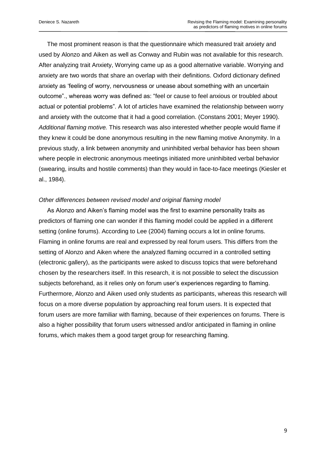The most prominent reason is that the questionnaire which measured trait anxiety and used by Alonzo and Aiken as well as Conway and Rubin was not available for this research. After analyzing trait Anxiety, Worrying came up as a good alternative variable. Worrying and anxiety are two words that share an overlap with their definitions. Oxford dictionary defined anxiety as "feeling of worry, nervousness or unease about something with an uncertain outcome"., whereas worry was defined as: "feel or cause to feel anxious or troubled about actual or potential problems". A lot of articles have examined the relationship between worry and anxiety with the outcome that it had a good correlation. (Constans 2001; Meyer 1990). *Additional flaming motive.* This research was also interested whether people would flame if they knew it could be done anonymous resulting in the new flaming motive Anonymity. In a previous study, a link between anonymity and uninhibited verbal behavior has been shown where people in electronic anonymous meetings initiated more uninhibited verbal behavior (swearing, insults and hostile comments) than they would in face-to-face meetings (Kiesler et al., 1984).

## *Other differences between revised model and original flaming model*

 As Alonzo and Aiken"s flaming model was the first to examine personality traits as predictors of flaming one can wonder if this flaming model could be applied in a different setting (online forums). According to Lee (2004) flaming occurs a lot in online forums. Flaming in online forums are real and expressed by real forum users. This differs from the setting of Alonzo and Aiken where the analyzed flaming occurred in a controlled setting (electronic gallery), as the participants were asked to discuss topics that were beforehand chosen by the researchers itself. In this research, it is not possible to select the discussion subjects beforehand, as it relies only on forum user"s experiences regarding to flaming. Furthermore, Alonzo and Aiken used only students as participants, whereas this research will focus on a more diverse population by approaching real forum users. It is expected that forum users are more familiar with flaming, because of their experiences on forums. There is also a higher possibility that forum users witnessed and/or anticipated in flaming in online forums, which makes them a good target group for researching flaming.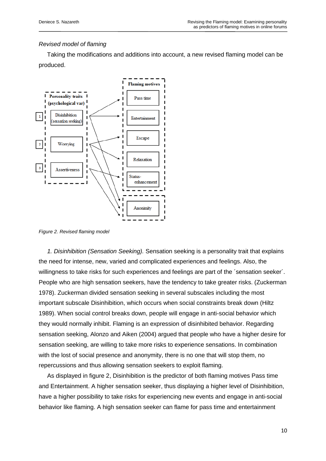# *Revised model of flaming*

 Taking the modifications and additions into account, a new revised flaming model can be produced.



*Figure 2. Revised flaming model*

 *1. Disinhibition (Sensation Seeking).* Sensation seeking is a personality trait that explains the need for intense, new, varied and complicated experiences and feelings. Also, the willingness to take risks for such experiences and feelings are part of the ´sensation seeker´. People who are high sensation seekers, have the tendency to take greater risks. (Zuckerman 1978). Zuckerman divided sensation seeking in several subscales including the most important subscale Disinhibition, which occurs when social constraints break down (Hiltz 1989). When social control breaks down, people will engage in anti-social behavior which they would normally inhibit. Flaming is an expression of disinhibited behavior. Regarding sensation seeking, Alonzo and Aiken (2004) argued that people who have a higher desire for sensation seeking, are willing to take more risks to experience sensations. In combination with the lost of social presence and anonymity, there is no one that will stop them, no repercussions and thus allowing sensation seekers to exploit flaming.

 As displayed in figure 2, Disinhibition is the predictor of both flaming motives Pass time and Entertainment. A higher sensation seeker, thus displaying a higher level of Disinhibition, have a higher possibility to take risks for experiencing new events and engage in anti-social behavior like flaming. A high sensation seeker can flame for pass time and entertainment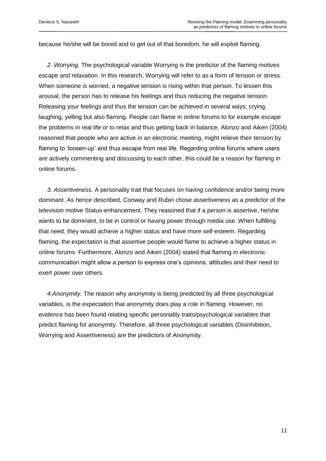because he/she will be bored and to get out of that boredom, he will exploit flaming.

 *2. Worrying.* The psychological variable Worrying is the predictor of the flaming motives escape and relaxation. In this research, Worrying will refer to as a form of tension or stress. When someone is worried, a negative tension is rising within that person. To lessen this arousal, the person has to release his feelings and thus reducing the negative tension. Releasing your feelings and thus the tension can be achieved in several ways: crying, laughing, yelling but also flaming. People can flame in online forums to for example escape the problems in real life or to relax and thus getting back in balance. Alonzo and Aiken (2004) reasoned that people who are active in an electronic meeting, might relieve their tension by flaming to 'loosen-up' and thus escape from real life. Regarding online forums where users are actively commenting and discussing to each other, this could be a reason for flaming in online forums.

 *3. Assertiveness.* A personality trait that focuses on having confidence and/or being more dominant. As hence described, Conway and Rubin chose assertiveness as a predictor of the television motive Status-enhancement. They reasoned that if a person is assertive, he/she wants to be dominant, to be in control or having power through media use. When fulfilling that need, they would achieve a higher status and have more self-esteem. Regarding flaming, the expectation is that assertive people would flame to achieve a higher status in online forums. Furthermore, Alonzo and Aiken (2004) stated that flaming in electronic communication might allow a person to express one"s opinions, attitudes and their need to exert power over others.

 *4.Anonymity.* The reason why anonymity is being predicted by all three psychological variables, is the expectation that anonymity does play a role in flaming. However, no evidence has been found relating specific personality traits/psychological variables that predict flaming for anonymity. Therefore, all three psychological variables (Disinhibition, Worrying and Assertiveness) are the predictors of Anonymity.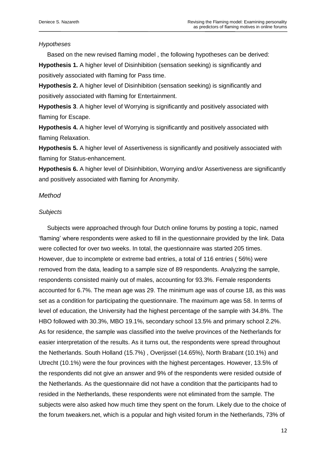# *Hypotheses*

 Based on the new revised flaming model , the following hypotheses can be derived: **Hypothesis 1.** A higher level of Disinhibition (sensation seeking) is significantly and positively associated with flaming for Pass time.

**Hypothesis 2.** A higher level of Disinhibition (sensation seeking) is significantly and positively associated with flaming for Entertainment.

**Hypothesis 3**. A higher level of Worrying is significantly and positively associated with flaming for Escape.

**Hypothesis 4.** A higher level of Worrying is significantly and positively associated with flaming Relaxation.

**Hypothesis 5.** A higher level of Assertiveness is significantly and positively associated with flaming for Status-enhancement.

**Hypothesis 6.** A higher level of Disinhibition, Worrying and/or Assertiveness are significantly and positively associated with flaming for Anonymity.

# *Method*

# *Subjects*

 Subjects were approached through four Dutch online forums by posting a topic, named "flaming" where respondents were asked to fill in the questionnaire provided by the link. Data were collected for over two weeks. In total, the questionnaire was started 205 times. However, due to incomplete or extreme bad entries, a total of 116 entries ( 56%) were removed from the data, leading to a sample size of 89 respondents. Analyzing the sample, respondents consisted mainly out of males, accounting for 93.3%. Female respondents accounted for 6.7%. The mean age was 29. The minimum age was of course 18, as this was set as a condition for participating the questionnaire. The maximum age was 58. In terms of level of education, the University had the highest percentage of the sample with 34.8%. The HBO followed with 30.3%, MBO 19.1%, secondary school 13.5% and primary school 2.2%. As for residence, the sample was classified into the twelve provinces of the Netherlands for easier interpretation of the results. As it turns out, the respondents were spread throughout the Netherlands. South Holland (15.7%) , Overijssel (14.65%), North Brabant (10.1%) and Utrecht (10.1%) were the four provinces with the highest percentages. However, 13.5% of the respondents did not give an answer and 9% of the respondents were resided outside of the Netherlands. As the questionnaire did not have a condition that the participants had to resided in the Netherlands, these respondents were not eliminated from the sample. The subjects were also asked how much time they spent on the forum. Likely due to the choice of the forum tweakers.net, which is a popular and high visited forum in the Netherlands, 73% of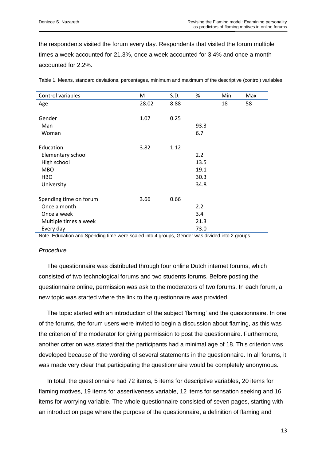the respondents visited the forum every day. Respondents that visited the forum multiple times a week accounted for 21.3%, once a week accounted for 3.4% and once a month accounted for 2.2%.

| Control variables      | M     | S.D. | %    | Min | Max |
|------------------------|-------|------|------|-----|-----|
| Age                    | 28.02 | 8.88 |      | 18  | 58  |
|                        |       |      |      |     |     |
| Gender                 | 1.07  | 0.25 |      |     |     |
| Man                    |       |      | 93.3 |     |     |
| Woman                  |       |      | 6.7  |     |     |
| Education              | 3.82  | 1.12 |      |     |     |
| Elementary school      |       |      | 2.2  |     |     |
| High school            |       |      | 13.5 |     |     |
| <b>MBO</b>             |       |      | 19.1 |     |     |
| HBO                    |       |      | 30.3 |     |     |
| University             |       |      | 34.8 |     |     |
|                        |       |      |      |     |     |
| Spending time on forum | 3.66  | 0.66 |      |     |     |
| Once a month           |       |      | 2.2  |     |     |
| Once a week            |       |      | 3.4  |     |     |
| Multiple times a week  |       |      | 21.3 |     |     |
| Every day              |       |      | 73.0 |     |     |

Table 1. Means, standard deviations, percentages, minimum and maximum of the descriptive (control) variables

Note. Education and Spending time were scaled into 4 groups, Gender was divided into 2 groups.

## *Procedure*

 The questionnaire was distributed through four online Dutch internet forums, which consisted of two technological forums and two students forums. Before posting the questionnaire online, permission was ask to the moderators of two forums. In each forum, a new topic was started where the link to the questionnaire was provided.

 The topic started with an introduction of the subject "flaming" and the questionnaire. In one of the forums, the forum users were invited to begin a discussion about flaming, as this was the criterion of the moderator for giving permission to post the questionnaire. Furthermore, another criterion was stated that the participants had a minimal age of 18. This criterion was developed because of the wording of several statements in the questionnaire. In all forums, it was made very clear that participating the questionnaire would be completely anonymous.

In total, the questionnaire had 72 items, 5 items for descriptive variables, 20 items for flaming motives, 19 items for assertiveness variable, 12 items for sensation seeking and 16 items for worrying variable. The whole questionnaire consisted of seven pages, starting with an introduction page where the purpose of the questionnaire, a definition of flaming and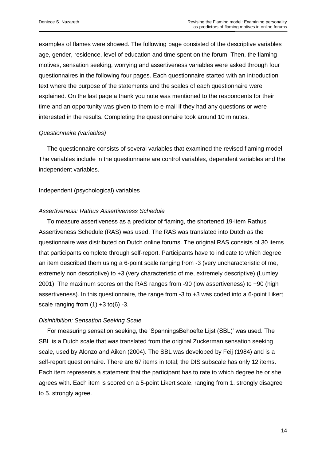examples of flames were showed. The following page consisted of the descriptive variables age, gender, residence, level of education and time spent on the forum. Then, the flaming motives, sensation seeking, worrying and assertiveness variables were asked through four questionnaires in the following four pages. Each questionnaire started with an introduction text where the purpose of the statements and the scales of each questionnaire were explained. On the last page a thank you note was mentioned to the respondents for their time and an opportunity was given to them to e-mail if they had any questions or were interested in the results. Completing the questionnaire took around 10 minutes.

## *Questionnaire (variables)*

 The questionnaire consists of several variables that examined the revised flaming model. The variables include in the questionnaire are control variables, dependent variables and the independent variables.

#### Independent (psychological) variables

#### *Assertiveness: Rathus Assertiveness Schedule*

 To measure assertiveness as a predictor of flaming, the shortened 19-item Rathus Assertiveness Schedule (RAS) was used. The RAS was translated into Dutch as the questionnaire was distributed on Dutch online forums. The original RAS consists of 30 items that participants complete through self-report. Participants have to indicate to which degree an item described them using a 6-point scale ranging from -3 (very uncharacteristic of me, extremely non descriptive) to +3 (very characteristic of me, extremely descriptive) (Lumley 2001). The maximum scores on the RAS ranges from -90 (low assertiveness) to +90 (high assertiveness). In this questionnaire, the range from -3 to +3 was coded into a 6-point Likert scale ranging from  $(1) +3$  to $(6) -3$ .

## *Disinhibition: Sensation Seeking Scale*

 For measuring sensation seeking, the "SpanningsBehoefte Lijst (SBL)" was used. The SBL is a Dutch scale that was translated from the original Zuckerman sensation seeking scale, used by Alonzo and Aiken (2004). The SBL was developed by Feij (1984) and is a self-report questionnaire. There are 67 items in total; the DIS subscale has only 12 items. Each item represents a statement that the participant has to rate to which degree he or she agrees with. Each item is scored on a 5-point Likert scale, ranging from 1. strongly disagree to 5. strongly agree.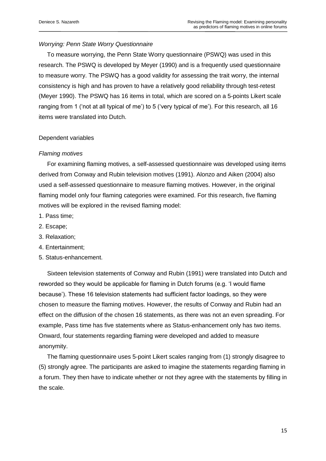# *Worrying: Penn State Worry Questionnaire*

 To measure worrying, the Penn State Worry questionnaire (PSWQ) was used in this research. The PSWQ is developed by Meyer (1990) and is a frequently used questionnaire to measure worry. The PSWQ has a good validity for assessing the trait worry, the internal consistency is high and has proven to have a relatively good reliability through test-retest (Meyer 1990). The PSWQ has 16 items in total, which are scored on a 5-points Likert scale ranging from 1 ('not at all typical of me') to 5 ('very typical of me'). For this research, all 16 items were translated into Dutch.

## Dependent variables

#### *Flaming motives*

For examining flaming motives, a self-assessed questionnaire was developed using items derived from Conway and Rubin television motives (1991). Alonzo and Aiken (2004) also used a self-assessed questionnaire to measure flaming motives. However, in the original flaming model only four flaming categories were examined. For this research, five flaming motives will be explored in the revised flaming model:

- 1. Pass time;
- 2. Escape;
- 3. Relaxation;
- 4. Entertainment;
- 5. Status-enhancement.

 Sixteen television statements of Conway and Rubin (1991) were translated into Dutch and reworded so they would be applicable for flaming in Dutch forums (e.g. "I would flame because"). These 16 television statements had sufficient factor loadings, so they were chosen to measure the flaming motives. However, the results of Conway and Rubin had an effect on the diffusion of the chosen 16 statements, as there was not an even spreading. For example, Pass time has five statements where as Status-enhancement only has two items. Onward, four statements regarding flaming were developed and added to measure anonymity.

 The flaming questionnaire uses 5-point Likert scales ranging from (1) strongly disagree to (5) strongly agree. The participants are asked to imagine the statements regarding flaming in a forum. They then have to indicate whether or not they agree with the statements by filling in the scale.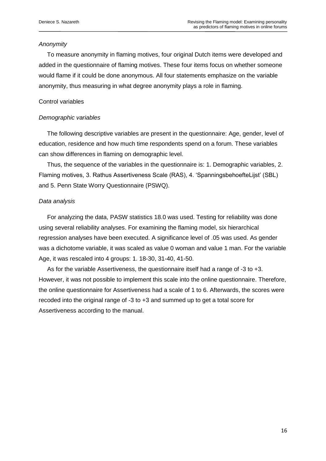# *Anonymity*

 To measure anonymity in flaming motives, four original Dutch items were developed and added in the questionnaire of flaming motives. These four items focus on whether someone would flame if it could be done anonymous. All four statements emphasize on the variable anonymity, thus measuring in what degree anonymity plays a role in flaming.

# Control variables

# *Demographic variables*

 The following descriptive variables are present in the questionnaire: Age, gender, level of education, residence and how much time respondents spend on a forum. These variables can show differences in flaming on demographic level.

 Thus, the sequence of the variables in the questionnaire is: 1. Demographic variables, 2. Flaming motives, 3. Rathus Assertiveness Scale (RAS), 4. "SpanningsbehoefteLijst" (SBL) and 5. Penn State Worry Questionnaire (PSWQ).

# *Data analysis*

 For analyzing the data, PASW statistics 18.0 was used. Testing for reliability was done using several reliability analyses. For examining the flaming model, six hierarchical regression analyses have been executed. A significance level of .05 was used. As gender was a dichotome variable, it was scaled as value 0 woman and value 1 man. For the variable Age, it was rescaled into 4 groups: 1. 18-30, 31-40, 41-50.

 As for the variable Assertiveness, the questionnaire itself had a range of -3 to +3. However, it was not possible to implement this scale into the online questionnaire. Therefore, the online questionnaire for Assertiveness had a scale of 1 to 6. Afterwards, the scores were recoded into the original range of -3 to +3 and summed up to get a total score for Assertiveness according to the manual.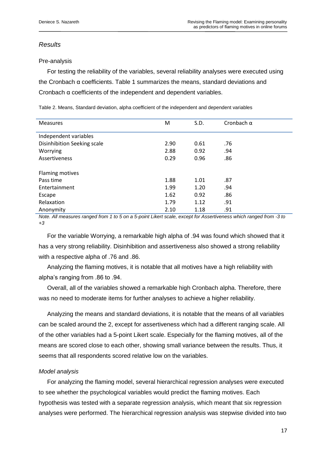# *Results*

# Pre-analysis

 For testing the reliability of the variables, several reliability analyses were executed using the Cronbach α coefficients. Table 1 summarizes the means, standard deviations and Cronbach α coefficients of the independent and dependent variables.

Table 2. Means, Standard deviation, alpha coefficient of the independent and dependent variables

| <b>Measures</b>             | м    | S.D. | Cronbach $\alpha$ |
|-----------------------------|------|------|-------------------|
| Independent variables       |      |      |                   |
|                             |      |      |                   |
| Disinhibition Seeking scale | 2.90 | 0.61 | .76               |
| Worrying                    | 2.88 | 0.92 | .94               |
| Assertiveness               | 0.29 | 0.96 | .86               |
| Flaming motives             |      |      |                   |
| Pass time                   | 1.88 | 1.01 | .87               |
| Entertainment               | 1.99 | 1.20 | .94               |
| Escape                      | 1.62 | 0.92 | .86               |
| Relaxation                  | 1.79 | 1.12 | .91               |
| Anonymity                   | 2.10 | 1.18 | .91               |

*Note. All measures ranged from 1 to 5 on a 5-point Likert scale, except for Assertiveness which ranged from -3 to +3*

 For the variable Worrying, a remarkable high alpha of .94 was found which showed that it has a very strong reliability. Disinhibition and assertiveness also showed a strong reliability with a respective alpha of .76 and .86.

 Analyzing the flaming motives, it is notable that all motives have a high reliability with alpha"s ranging from .86 to .94.

 Overall, all of the variables showed a remarkable high Cronbach alpha. Therefore, there was no need to moderate items for further analyses to achieve a higher reliability.

 Analyzing the means and standard deviations, it is notable that the means of all variables can be scaled around the 2, except for assertiveness which had a different ranging scale. All of the other variables had a 5-point Likert scale. Especially for the flaming motives, all of the means are scored close to each other, showing small variance between the results. Thus, it seems that all respondents scored relative low on the variables.

# *Model analysis*

 For analyzing the flaming model, several hierarchical regression analyses were executed to see whether the psychological variables would predict the flaming motives. Each hypothesis was tested with a separate regression analysis, which meant that six regression analyses were performed. The hierarchical regression analysis was stepwise divided into two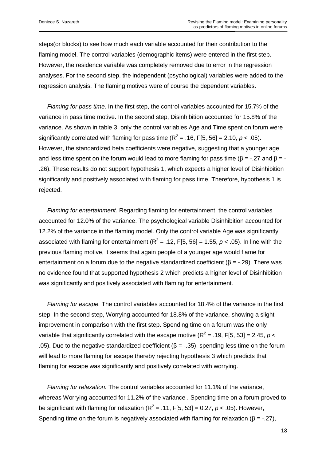steps(or blocks) to see how much each variable accounted for their contribution to the flaming model. The control variables (demographic items) were entered in the first step. However, the residence variable was completely removed due to error in the regression analyses. For the second step, the independent (psychological) variables were added to the regression analysis. The flaming motives were of course the dependent variables.

 *Flaming for pass time*. In the first step, the control variables accounted for 15.7% of the variance in pass time motive. In the second step, Disinhibition accounted for 15.8% of the variance. As shown in table 3, only the control variables Age and Time spent on forum were significantly correlated with flaming for pass time  $(R^2 = .16, F[5, 56] = 2.10, p < .05)$ . However, the standardized beta coefficients were negative, suggesting that a younger age and less time spent on the forum would lead to more flaming for pass time ( $\beta$  = -.27 and  $\beta$  = -.26). These results do not support hypothesis 1, which expects a higher level of Disinhibition significantly and positively associated with flaming for pass time. Therefore, hypothesis 1 is rejected.

 *Flaming for entertainment.* Regarding flaming for entertainment, the control variables accounted for 12.0% of the variance. The psychological variable Disinhibition accounted for 12.2% of the variance in the flaming model. Only the control variable Age was significantly associated with flaming for entertainment ( $R^2$  = .12, F[5, 56] = 1.55,  $p$  < .05). In line with the previous flaming motive, it seems that again people of a younger age would flame for entertainment on a forum due to the negative standardized coefficient  $(\beta = -0.29)$ . There was no evidence found that supported hypothesis 2 which predicts a higher level of Disinhibition was significantly and positively associated with flaming for entertainment.

 *Flaming for escape.* The control variables accounted for 18.4% of the variance in the first step. In the second step, Worrying accounted for 18.8% of the variance, showing a slight improvement in comparison with the first step. Spending time on a forum was the only variable that significantly correlated with the escape motive ( $R^2$  = .19, F[5, 53] = 2.45,  $p$  < .05). Due to the negative standardized coefficient (β = -.35), spending less time on the forum will lead to more flaming for escape thereby rejecting hypothesis 3 which predicts that flaming for escape was significantly and positively correlated with worrying.

 *Flaming for relaxation.* The control variables accounted for 11.1% of the variance, whereas Worrying accounted for 11.2% of the variance . Spending time on a forum proved to be significant with flaming for relaxation ( $R^2$  = .11, F[5, 53] = 0.27,  $p$  < .05). However, Spending time on the forum is negatively associated with flaming for relaxation ( $\beta$  = -.27),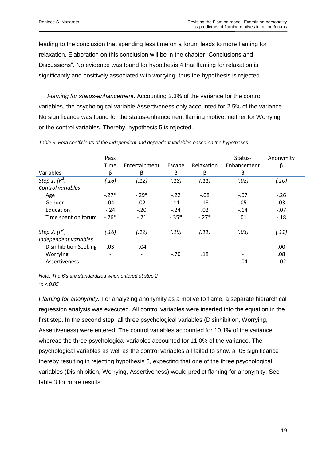leading to the conclusion that spending less time on a forum leads to more flaming for relaxation. Elaboration on this conclusion will be in the chapter "Conclusions and Discussions". No evidence was found for hypothesis 4 that flaming for relaxation is significantly and positively associated with worrying, thus the hypothesis is rejected.

 *Flaming for status-enhancement*. Accounting 2.3% of the variance for the control variables, the psychological variable Assertiveness only accounted for 2.5% of the variance. No significance was found for the status-enhancement flaming motive, neither for Worrying or the control variables. Thereby, hypothesis 5 is rejected.

| Pass<br>Time             | Entertainment |                          |                          | Status-     | Anonymity |
|--------------------------|---------------|--------------------------|--------------------------|-------------|-----------|
|                          |               |                          |                          |             |           |
|                          |               | Escape                   | Relaxation               | Enhancement | β         |
| β                        | β             | β                        | β                        | β           |           |
| (.16)                    | (.12)         | (.18)                    | (.11)                    | (.02)       | (.10)     |
|                          |               |                          |                          |             |           |
| $-.27*$                  | $-.29*$       | $-.22$                   | $-.08$                   | $-.07$      | $-.26$    |
| .04                      | .02           | .11                      | .18                      | .05         | .03       |
| $-.24$                   | $-.20$        | $-.24$                   | .02                      | $-.14$      | $-.07$    |
| $-.26*$                  | $-.21$        | $-.35*$                  | $-.27*$                  | .01         | $-.18$    |
| (.16)                    | (.12)         | (.19)                    | (.11)                    | (.03)       | (.11)     |
| .03                      | $-.04$        |                          |                          |             | .00       |
| $\overline{\phantom{a}}$ |               | $-.70$                   | .18                      |             | .08       |
| $\overline{\phantom{0}}$ |               | $\overline{\phantom{a}}$ | $\overline{\phantom{0}}$ | $-.04$      | $-.02$    |
|                          |               |                          |                          |             |           |

*Table 3. Beta coefficients of the independent and dependent variables based on the hypotheses*

*Note. The β's are standardized when entered at step 2*

*\*p < 0.05*

*Flaming for anonymity.* For analyzing anonymity as a motive to flame, a separate hierarchical regression analysis was executed. All control variables were inserted into the equation in the first step. In the second step, all three psychological variables (Disinhibition, Worrying, Assertiveness) were entered. The control variables accounted for 10.1% of the variance whereas the three psychological variables accounted for 11.0% of the variance. The psychological variables as well as the control variables all failed to show a .05 significance thereby resulting in rejecting hypothesis 6, expecting that one of the three psychological variables (Disinhibition, Worrying, Assertiveness) would predict flaming for anonymity. See table 3 for more results.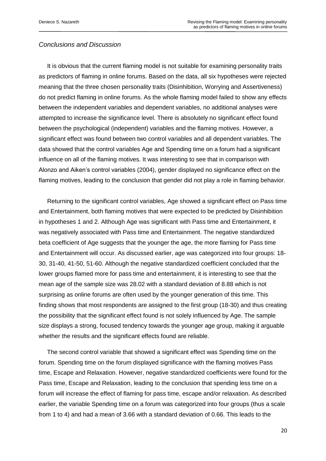# *Conclusions and Discussion*

 It is obvious that the current flaming model is not suitable for examining personality traits as predictors of flaming in online forums. Based on the data, all six hypotheses were rejected meaning that the three chosen personality traits (Disinhibition, Worrying and Assertiveness) do not predict flaming in online forums. As the whole flaming model failed to show any effects between the independent variables and dependent variables, no additional analyses were attempted to increase the significance level. There is absolutely no significant effect found between the psychological (independent) variables and the flaming motives. However, a significant effect was found between two control variables and all dependent variables. The data showed that the control variables Age and Spending time on a forum had a significant influence on all of the flaming motives. It was interesting to see that in comparison with Alonzo and Aiken"s control variables (2004), gender displayed no significance effect on the flaming motives, leading to the conclusion that gender did not play a role in flaming behavior.

 Returning to the significant control variables, Age showed a significant effect on Pass time and Entertainment, both flaming motives that were expected to be predicted by Disinhibition in hypotheses 1 and 2. Although Age was significant with Pass time and Entertainment, it was negatively associated with Pass time and Entertainment. The negative standardized beta coefficient of Age suggests that the younger the age, the more flaming for Pass time and Entertainment will occur. As discussed earlier, age was categorized into four groups: 18- 30, 31-40, 41-50, 51-60. Although the negative standardized coefficient concluded that the lower groups flamed more for pass time and entertainment, it is interesting to see that the mean age of the sample size was 28.02 with a standard deviation of 8.88 which is not surprising as online forums are often used by the younger generation of this time. This finding shows that most respondents are assigned to the first group (18-30) and thus creating the possibility that the significant effect found is not solely influenced by Age. The sample size displays a strong, focused tendency towards the younger age group, making it arguable whether the results and the significant effects found are reliable.

 The second control variable that showed a significant effect was Spending time on the forum. Spending time on the forum displayed significance with the flaming motives Pass time, Escape and Relaxation. However, negative standardized coefficients were found for the Pass time, Escape and Relaxation, leading to the conclusion that spending less time on a forum will increase the effect of flaming for pass time, escape and/or relaxation. As described earlier, the variable Spending time on a forum was categorized into four groups (thus a scale from 1 to 4) and had a mean of 3.66 with a standard deviation of 0.66. This leads to the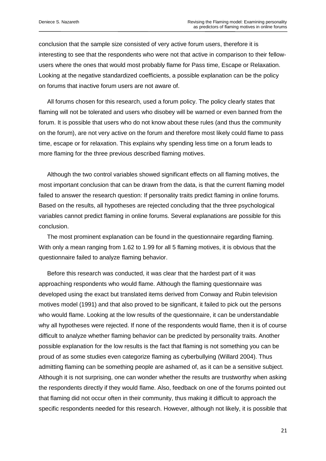conclusion that the sample size consisted of very active forum users, therefore it is interesting to see that the respondents who were not that active in comparison to their fellowusers where the ones that would most probably flame for Pass time, Escape or Relaxation. Looking at the negative standardized coefficients, a possible explanation can be the policy on forums that inactive forum users are not aware of.

 All forums chosen for this research, used a forum policy. The policy clearly states that flaming will not be tolerated and users who disobey will be warned or even banned from the forum. It is possible that users who do not know about these rules (and thus the community on the forum), are not very active on the forum and therefore most likely could flame to pass time, escape or for relaxation. This explains why spending less time on a forum leads to more flaming for the three previous described flaming motives.

 Although the two control variables showed significant effects on all flaming motives, the most important conclusion that can be drawn from the data, is that the current flaming model failed to answer the research question: If personality traits predict flaming in online forums. Based on the results, all hypotheses are rejected concluding that the three psychological variables cannot predict flaming in online forums. Several explanations are possible for this conclusion.

 The most prominent explanation can be found in the questionnaire regarding flaming. With only a mean ranging from 1.62 to 1.99 for all 5 flaming motives, it is obvious that the questionnaire failed to analyze flaming behavior.

 Before this research was conducted, it was clear that the hardest part of it was approaching respondents who would flame. Although the flaming questionnaire was developed using the exact but translated items derived from Conway and Rubin television motives model (1991) and that also proved to be significant, it failed to pick out the persons who would flame. Looking at the low results of the questionnaire, it can be understandable why all hypotheses were rejected. If none of the respondents would flame, then it is of course difficult to analyze whether flaming behavior can be predicted by personality traits. Another possible explanation for the low results is the fact that flaming is not something you can be proud of as some studies even categorize flaming as cyberbullying (Willard 2004). Thus admitting flaming can be something people are ashamed of, as it can be a sensitive subject. Although it is not surprising, one can wonder whether the results are trustworthy when asking the respondents directly if they would flame. Also, feedback on one of the forums pointed out that flaming did not occur often in their community, thus making it difficult to approach the specific respondents needed for this research. However, although not likely, it is possible that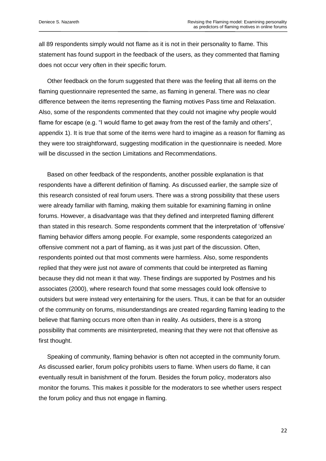all 89 respondents simply would not flame as it is not in their personality to flame. This statement has found support in the feedback of the users, as they commented that flaming does not occur very often in their specific forum.

 Other feedback on the forum suggested that there was the feeling that all items on the flaming questionnaire represented the same, as flaming in general. There was no clear difference between the items representing the flaming motives Pass time and Relaxation. Also, some of the respondents commented that they could not imagine why people would flame for escape (e.g. "I would flame to get away from the rest of the family and others", appendix 1). It is true that some of the items were hard to imagine as a reason for flaming as they were too straightforward, suggesting modification in the questionnaire is needed. More will be discussed in the section Limitations and Recommendations.

 Based on other feedback of the respondents, another possible explanation is that respondents have a different definition of flaming. As discussed earlier, the sample size of this research consisted of real forum users. There was a strong possibility that these users were already familiar with flaming, making them suitable for examining flaming in online forums. However, a disadvantage was that they defined and interpreted flaming different than stated in this research. Some respondents comment that the interpretation of "offensive" flaming behavior differs among people. For example, some respondents categorized an offensive comment not a part of flaming, as it was just part of the discussion. Often, respondents pointed out that most comments were harmless. Also, some respondents replied that they were just not aware of comments that could be interpreted as flaming because they did not mean it that way. These findings are supported by Postmes and his associates (2000), where research found that some messages could look offensive to outsiders but were instead very entertaining for the users. Thus, it can be that for an outsider of the community on forums, misunderstandings are created regarding flaming leading to the believe that flaming occurs more often than in reality. As outsiders, there is a strong possibility that comments are misinterpreted, meaning that they were not that offensive as first thought.

 Speaking of community, flaming behavior is often not accepted in the community forum. As discussed earlier, forum policy prohibits users to flame. When users do flame, it can eventually result in banishment of the forum. Besides the forum policy, moderators also monitor the forums. This makes it possible for the moderators to see whether users respect the forum policy and thus not engage in flaming.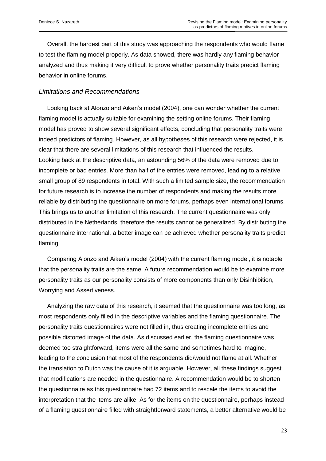Overall, the hardest part of this study was approaching the respondents who would flame to test the flaming model properly. As data showed, there was hardly any flaming behavior analyzed and thus making it very difficult to prove whether personality traits predict flaming behavior in online forums.

## *Limitations and Recommendations*

 Looking back at Alonzo and Aiken"s model (2004), one can wonder whether the current flaming model is actually suitable for examining the setting online forums. Their flaming model has proved to show several significant effects, concluding that personality traits were indeed predictors of flaming. However, as all hypotheses of this research were rejected, it is clear that there are several limitations of this research that influenced the results. Looking back at the descriptive data, an astounding 56% of the data were removed due to incomplete or bad entries. More than half of the entries were removed, leading to a relative small group of 89 respondents in total. With such a limited sample size, the recommendation for future research is to increase the number of respondents and making the results more reliable by distributing the questionnaire on more forums, perhaps even international forums. This brings us to another limitation of this research. The current questionnaire was only distributed in the Netherlands, therefore the results cannot be generalized. By distributing the questionnaire international, a better image can be achieved whether personality traits predict flaming.

 Comparing Alonzo and Aiken"s model (2004) with the current flaming model, it is notable that the personality traits are the same. A future recommendation would be to examine more personality traits as our personality consists of more components than only Disinhibition, Worrying and Assertiveness.

 Analyzing the raw data of this research, it seemed that the questionnaire was too long, as most respondents only filled in the descriptive variables and the flaming questionnaire. The personality traits questionnaires were not filled in, thus creating incomplete entries and possible distorted image of the data. As discussed earlier, the flaming questionnaire was deemed too straightforward, items were all the same and sometimes hard to imagine, leading to the conclusion that most of the respondents did/would not flame at all. Whether the translation to Dutch was the cause of it is arguable. However, all these findings suggest that modifications are needed in the questionnaire. A recommendation would be to shorten the questionnaire as this questionnaire had 72 items and to rescale the items to avoid the interpretation that the items are alike. As for the items on the questionnaire, perhaps instead of a flaming questionnaire filled with straightforward statements, a better alternative would be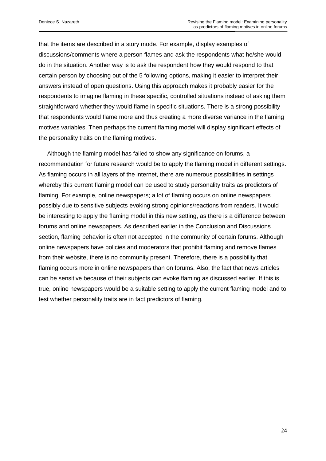that the items are described in a story mode. For example, display examples of discussions/comments where a person flames and ask the respondents what he/she would do in the situation. Another way is to ask the respondent how they would respond to that certain person by choosing out of the 5 following options, making it easier to interpret their answers instead of open questions. Using this approach makes it probably easier for the respondents to imagine flaming in these specific, controlled situations instead of asking them straightforward whether they would flame in specific situations. There is a strong possibility that respondents would flame more and thus creating a more diverse variance in the flaming motives variables. Then perhaps the current flaming model will display significant effects of the personality traits on the flaming motives.

 Although the flaming model has failed to show any significance on forums, a recommendation for future research would be to apply the flaming model in different settings. As flaming occurs in all layers of the internet, there are numerous possibilities in settings whereby this current flaming model can be used to study personality traits as predictors of flaming. For example, online newspapers; a lot of flaming occurs on online newspapers possibly due to sensitive subjects evoking strong opinions/reactions from readers. It would be interesting to apply the flaming model in this new setting, as there is a difference between forums and online newspapers. As described earlier in the Conclusion and Discussions section, flaming behavior is often not accepted in the community of certain forums. Although online newspapers have policies and moderators that prohibit flaming and remove flames from their website, there is no community present. Therefore, there is a possibility that flaming occurs more in online newspapers than on forums. Also, the fact that news articles can be sensitive because of their subjects can evoke flaming as discussed earlier. If this is true, online newspapers would be a suitable setting to apply the current flaming model and to test whether personality traits are in fact predictors of flaming.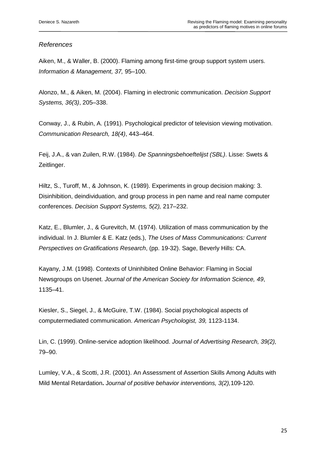# *References*

Aiken, M., & Waller, B. (2000). Flaming among first-time group support system users. *Information & Management, 37,* 95–100.

Alonzo, M., & Aiken, M. (2004). Flaming in electronic communication. *Decision Support Systems, 36(*3*)*, 205–338.

Conway, J., & Rubin, A. (1991). Psychological predictor of television viewing motivation. *Communication Research, 18(4)*, 443–464.

Feij, J.A., & van Zuilen, R.W. (1984). *De Spanningsbehoeftelijst (SBL)*. Lisse: Swets & Zeitlinger.

Hiltz, S., Turoff, M., & Johnson, K. (1989). Experiments in group decision making: 3. Disinhibition, deindividuation, and group process in pen name and real name computer conferences. *Decision Support Systems, 5(2),* 217–232.

Katz, E., Blumler, J., & Gurevitch, M. (1974). Utilization of mass communication by the individual. In J. Blumler & E. Katz (eds.), *The Uses of Mass Communications: Current Perspectives on Gratifications Research*, (pp. 19-32). Sage, Beverly Hills: CA.

Kayany, J.M. (1998). Contexts of Uninhibited Online Behavior: Flaming in Social Newsgroups on Usenet. *Journal of the American Society for Information Science, 49*, 1135–41.

Kiesler, S., Siegel, J., & McGuire, T.W. (1984). Social psychological aspects of computermediated communication. *American Psychologist, 39,* 1123-1134.

Lin, C. (1999). Online-service adoption likelihood. *Journal of Advertising Research, 39(2),* 79–90.

Lumley, V.A., & Scotti, J.R. (2001). An Assessment of Assertion Skills Among Adults with Mild Mental Retardation**.** J*ournal of positive behavior interventions, 3(2),*109-120.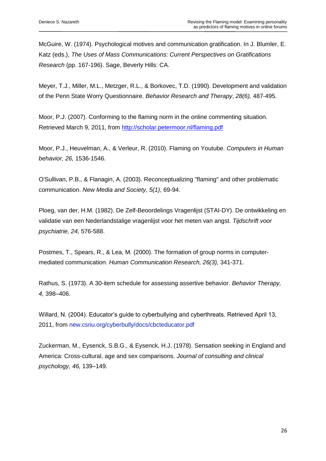McGuire, W. (1974). Psychological motives and communication gratification. In J. Blumler, E. Katz (eds.), *The Uses of Mass Communications: Current Perspectives on Gratifications Research* (pp. 167-196). Sage, Beverly Hills: CA.

Meyer, T.J., Miller, M.L., Metzger, R.L., & Borkovec, T.D. (1990). Development and validation of the Penn State Worry Questionnaire. *Behavior Research and Therapy*, *28(6),* 487-495.

Moor, P.J. (2007). Conforming to the flaming norm in the online commenting situation. Retrieved March 9, 2011, from<http://scholar.petermoor.nl/flaming.pdf>

Moor, P.J., Heuvelman, A., & Verleur, R. (2010). Flaming on Youtube. *Computers in Human behavior, 26,* 1536-1546.

O'Sullivan, P.B., & Flanagin, A. (2003). Reconceptualizing "flaming" and other problematic communication. *New Media and Society, 5(1)*, 69-94.

Ploeg, van der, H.M. (1982). De Zelf-Beoordelings Vragenlijst (STAI-DY). De ontwikkeling en validatie van een Nederlandstalige vragenlijst voor het meten van angst. *Tijdschrift voor psychiatrie, 24*, 576-588.

Postmes, T., Spears, R., & Lea, M. (2000). The formation of group norms in computermediated communication. *Human Communication Research, 26(3),* 341-371.

Rathus, S. (1973). A 30-item schedule for assessing assertive behavior. *Behavior Therapy, 4,* 398–406.

Willard, N. (2004). Educator's guide to cyberbullying and cyberthreats. Retrieved April 13, 2011, from new.csriu.org/cyberbully/docs/cbcteducator.pdf

Zuckerman, M., Eysenck, S.B.G., & Eysenck, H.J. (1978). Sensation seeking in England and America: Cross-cultural, age and sex comparisons. *Journal of consulting and clinical psychology, 46,* 139–149.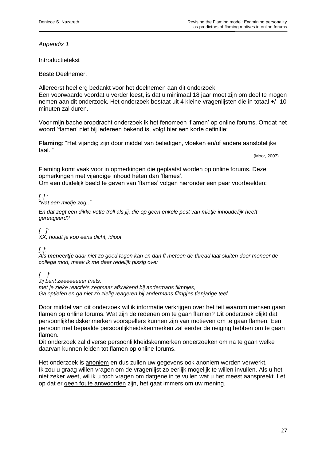*Appendix 1*

Introductietekst

Beste Deelnemer,

Allereerst heel erg bedankt voor het deelnemen aan dit onderzoek! Een voorwaarde voordat u verder leest, is dat u minimaal 18 jaar moet zijn om deel te mogen nemen aan dit onderzoek. Het onderzoek bestaat uit 4 kleine vragenlijsten die in totaal +/- 10 minuten zal duren.

Voor mijn bacheloropdracht onderzoek ik het fenomeen "flamen" op online forums. Omdat het woord 'flamen' niet bij iedereen bekend is, volgt hier een korte definitie:

**Flaming**: "Het vijandig zijn door middel van beledigen, vloeken en/of andere aanstotelijke taal. "

(Moor, 2007)

Flaming komt vaak voor in opmerkingen die geplaatst worden op online forums. Deze opmerkingen met vijandige inhoud heten dan "flames".

Om een duidelijk beeld te geven van "flames" volgen hieronder een paar voorbeelden:

# *[..] :*

*"wat een mietje zeg.."*

*En dat zegt een dikke vette troll als jij, die op geen enkele post van mietje inhoudelijk heeft gereageerd?*

*[…]:*

*XX, houdt je kop eens dicht, idioot.*

*[..]:*

*Als meneertje daar niet zo goed tegen kan en dan ff meteen de thread laat sluiten door meneer de collega mod, maak ik me daar redelijk pissig over*

*[….]:* 

*Jij bent zeeeeeeeer triets.* 

*met je zieke reactie's zegmaar afkrakend bij andermans filmpjes,*

*Ga optiefen en ga niet zo zielig reageren bij andermans filmpjes tienjarige teef.*

Door middel van dit onderzoek wil ik informatie verkrijgen over het feit waarom mensen gaan flamen op online forums. Wat zijn de redenen om te gaan flamen? Uit onderzoek blijkt dat persoonlijkheidskenmerken voorspellers kunnen zijn van motieven om te gaan flamen. Een persoon met bepaalde persoonlijkheidskenmerken zal eerder de neiging hebben om te gaan flamen.

Dit onderzoek zal diverse persoonlijkheidskenmerken onderzoeken om na te gaan welke daarvan kunnen leiden tot flamen op online forums.

Het onderzoek is anoniem en dus zullen uw gegevens ook anoniem worden verwerkt. Ik zou u graag willen vragen om de vragenlijst zo eerlijk mogelijk te willen invullen. Als u het niet zeker weet, wil ik u toch vragen om datgene in te vullen wat u het meest aanspreekt. Let op dat er geen foute antwoorden zijn, het gaat immers om uw mening.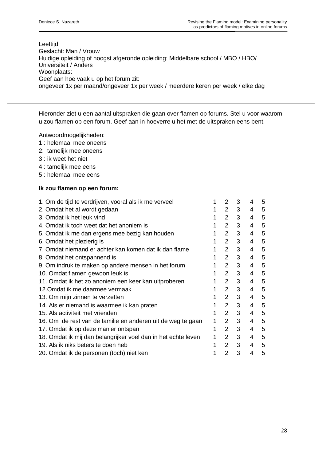## Leeftijd: Geslacht: Man / Vrouw Huidige opleiding of hoogst afgeronde opleiding: Middelbare school / MBO / HBO/ Universiteit / Anders Woonplaats: Geef aan hoe vaak u op het forum zit: ongeveer 1x per maand/ongeveer 1x per week / meerdere keren per week / elke dag

Hieronder ziet u een aantal uitspraken die gaan over flamen op forums. Stel u voor waarom u zou flamen op een forum. Geef aan in hoeverre u het met de uitspraken eens bent.

Antwoordmogelijkheden:

- 1 : helemaal mee oneens
- 2: tamelijk mee oneens
- 3 : ik weet het niet
- 4 : tamelijk mee eens
- 5 : helemaal mee eens

# **Ik zou flamen op een forum:**

| 1. Om de tijd te verdrijven, vooral als ik me verveel         |   | 2                     | 3 | 4 | 5 |
|---------------------------------------------------------------|---|-----------------------|---|---|---|
| 2. Omdat het al wordt gedaan                                  |   | $\overline{2}$        | 3 | 4 | 5 |
| 3. Omdat ik het leuk vind                                     |   | $\mathbf{2}^{\prime}$ | 3 | 4 | 5 |
| 4. Omdat ik toch weet dat het anoniem is                      |   | $\overline{2}$        | 3 | 4 | 5 |
| 5. Omdat ik me dan ergens mee bezig kan houden                |   | $\mathcal{P}$         | 3 | 4 | 5 |
| 6. Omdat het plezierig is                                     |   | $\overline{2}$        | 3 | 4 | 5 |
| 7. Omdat niemand er achter kan komen dat ik dan flame         |   | $\mathcal{P}$         | 3 | 4 | 5 |
| 8. Omdat het ontspannend is                                   |   | $\overline{2}$        | 3 | 4 | 5 |
| 9. Om indruk te maken op andere mensen in het forum           |   | $\overline{2}$        | 3 | 4 | 5 |
| 10. Omdat flamen gewoon leuk is                               |   | $\overline{2}$        | 3 | 4 | 5 |
| 11. Omdat ik het zo anoniem een keer kan uitproberen          |   | $\overline{2}$        | 3 | 4 | 5 |
| 12.Omdat ik me daarmee vermaak                                |   | 2                     | 3 | 4 | 5 |
| 13. Om mijn zinnen te verzetten                               |   | $\overline{2}$        | 3 | 4 | 5 |
| 14. Als er niemand is waarmee ik kan praten                   |   | $\overline{2}$        | 3 | 4 | 5 |
| 15. Als activiteit met vrienden                               |   | 2                     | 3 | 4 | 5 |
| 16. Om de rest van de familie en anderen uit de weg te gaan   | 1 | $\overline{2}$        | 3 | 4 | 5 |
| 17. Omdat ik op deze manier ontspan                           | 1 | $\overline{2}$        | 3 | 4 | 5 |
| 18. Omdat ik mij dan belangrijker voel dan in het echte leven | 1 | 2                     | 3 | 4 | 5 |
| 19. Als ik niks beters te doen heb                            |   | $\overline{2}$        | 3 | 4 | 5 |
| 20. Omdat ik de personen (toch) niet ken                      |   | 2                     | 3 | 4 | 5 |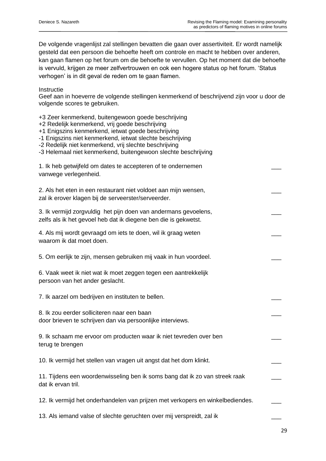De volgende vragenlijst zal stellingen bevatten die gaan over assertiviteit. Er wordt namelijk gesteld dat een persoon die behoefte heeft om controle en macht te hebben over anderen, kan gaan flamen op het forum om die behoefte te vervullen. Op het moment dat die behoefte is vervuld, krijgen ze meer zelfvertrouwen en ook een hogere status op het forum. "Status verhogen" is in dit geval de reden om te gaan flamen.

Instructie

Geef aan in hoeverre de volgende stellingen kenmerkend of beschrijvend zijn voor u door de volgende scores te gebruiken.

+3 Zeer kenmerkend, buitengewoon goede beschrijving

+2 Redelijk kenmerkend, vrij goede beschrijving

+1 Enigszins kenmerkend, ietwat goede beschrijving

- -1 Enigszins niet kenmerkend, ietwat slechte beschrijving
- -2 Redelijk niet kenmerkend, vrij slechte beschrijving
- -3 Helemaal niet kenmerkend, buitengewoon slechte beschrijving

| 1. Ik heb getwijfeld om dates te accepteren of te ondernemen<br>vanwege verlegenheid.                                              |  |
|------------------------------------------------------------------------------------------------------------------------------------|--|
| 2. Als het eten in een restaurant niet voldoet aan mijn wensen,<br>zal ik erover klagen bij de serveerster/serveerder.             |  |
| 3. Ik vermijd zorgvuldig het pijn doen van andermans gevoelens,<br>zelfs als ik het gevoel heb dat ik diegene ben die is gekwetst. |  |
| 4. Als mij wordt gevraagd om iets te doen, wil ik graag weten<br>waarom ik dat moet doen.                                          |  |
| 5. Om eerlijk te zijn, mensen gebruiken mij vaak in hun voordeel.                                                                  |  |
| 6. Vaak weet ik niet wat ik moet zeggen tegen een aantrekkelijk<br>persoon van het ander geslacht.                                 |  |
| 7. Ik aarzel om bedrijven en instituten te bellen.                                                                                 |  |
| 8. Ik zou eerder solliciteren naar een baan<br>door brieven te schrijven dan via persoonlijke interviews.                          |  |
| 9. Ik schaam me ervoor om producten waar ik niet tevreden over ben<br>terug te brengen                                             |  |
| 10. Ik vermijd het stellen van vragen uit angst dat het dom klinkt.                                                                |  |
| 11. Tijdens een woordenwisseling ben ik soms bang dat ik zo van streek raak<br>dat ik ervan tril.                                  |  |
| 12. Ik vermijd het onderhandelen van prijzen met verkopers en winkelbediendes.                                                     |  |
| 13. Als iemand valse of slechte geruchten over mij verspreidt, zal ik                                                              |  |

29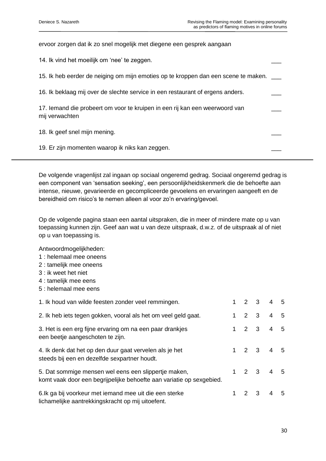| ervoor zorgen dat ik zo snel mogelijk met diegene een gesprek aangaan                         |  |
|-----------------------------------------------------------------------------------------------|--|
| 14. Ik vind het moeilijk om 'nee' te zeggen.                                                  |  |
| 15. Ik heb eerder de neiging om mijn emoties op te kroppen dan een scene te maken.            |  |
| 16. Ik beklaag mij over de slechte service in een restaurant of ergens anders.                |  |
| 17. Iemand die probeert om voor te kruipen in een rij kan een weerwoord van<br>mij verwachten |  |
| 18. Ik geef snel mijn mening.                                                                 |  |
| 19. Er zijn momenten waarop ik niks kan zeggen.                                               |  |

De volgende vragenlijst zal ingaan op sociaal ongeremd gedrag. Sociaal ongeremd gedrag is een component van "sensation seeking", een persoonlijkheidskenmerk die de behoefte aan intense, nieuwe, gevarieerde en gecompliceerde gevoelens en ervaringen aangeeft en de bereidheid om risico's te nemen alleen al voor zo'n ervaring/gevoel.

Op de volgende pagina staan een aantal uitspraken, die in meer of mindere mate op u van toepassing kunnen zijn. Geef aan wat u van deze uitspraak, d.w.z. of de uitspraak al of niet op u van toepassing is.

Antwoordmogelijkheden:

- 1 : helemaal mee oneens
- 2 : tamelijk mee oneens
- 3 : ik weet het niet
- 4 : tamelijk mee eens
- 5 : helemaal mee eens

| 1. Ik houd van wilde feesten zonder veel remmingen.                                                                          |  | $1 \t2 \t3 \t4 \t5$                 |     |
|------------------------------------------------------------------------------------------------------------------------------|--|-------------------------------------|-----|
| 2. Ik heb iets tegen gokken, vooral als het om veel geld gaat.                                                               |  | $2 \quad 3 \quad 4$                 | - 5 |
| 3. Het is een erg fijne ervaring om na een paar drankjes<br>een beetje aangeschoten te zijn.                                 |  | $1 2 3 4 5$                         |     |
| 4. Ik denk dat het op den duur gaat vervelen als je het<br>steeds bij een en dezelfde sexpartner houdt.                      |  | $1 \quad 2 \quad 3 \quad 4 \quad 5$ |     |
| 5. Dat sommige mensen wel eens een slippertje maken,<br>komt vaak door een begrijpelijke behoefte aan variatie op sexgebied. |  | $1 \t2 \t3 \t4 \t5$                 |     |
| 6. Ik ga bij voorkeur met iemand mee uit die een sterke<br>lichamelijke aantrekkingskracht op mij uitoefent.                 |  | $2 \t3 \t4 \t5$                     |     |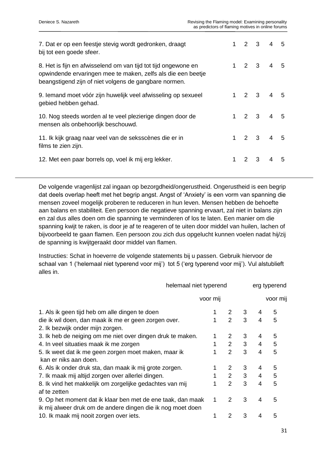| 7. Dat er op een feestje stevig wordt gedronken, draagt<br>bij tot een goede sfeer.                                                                                                     |              |             | $2 \t3 \t4 \t5$                     |   |
|-----------------------------------------------------------------------------------------------------------------------------------------------------------------------------------------|--------------|-------------|-------------------------------------|---|
| 8. Het is fijn en afwisselend om van tijd tot tijd ongewone en<br>opwindende ervaringen mee te maken, zelfs als die een beetje<br>beangstigend zijn of niet volgens de gangbare normen. |              |             | $1 \t2 \t3 \t4 \t5$                 |   |
| 9. lemand moet vóór zijn huwelijk veel afwisseling op sexueel<br>gebied hebben gehad.                                                                                                   | $1 \quad$    | $2 \quad 3$ | $4\quad 5$                          |   |
| 10. Nog steeds worden al te veel plezierige dingen door de<br>mensen als onbehoorlijk beschouwd.                                                                                        | $\mathbf{1}$ | $2 \quad 3$ | 4 <sub>5</sub>                      |   |
| 11. Ik kijk graag naar veel van de seksscènes die er in<br>films te zien zijn.                                                                                                          |              |             | $1 \quad 2 \quad 3 \quad 4 \quad 5$ |   |
| 12. Met een paar borrels op, voel ik mij erg lekker.                                                                                                                                    | 1            | $2 \t3$     | 4                                   | 5 |

De volgende vragenlijst zal ingaan op bezorgdheid/ongerustheid. Ongerustheid is een begrip dat deels overlap heeft met het begrip angst. Angst of "Anxiety" is een vorm van spanning die mensen zoveel mogelijk proberen te reduceren in hun leven. Mensen hebben de behoefte aan balans en stabiliteit. Een persoon die negatieve spanning ervaart, zal niet in balans zijn en zal dus alles doen om die spanning te verminderen of los te laten. Een manier om die spanning kwijt te raken, is door je af te reageren of te uiten door middel van huilen, lachen of bijvoorbeeld te gaan flamen. Een persoon zou zich dus opgelucht kunnen voelen nadat hij/zij de spanning is kwijtgeraakt door middel van flamen.

Instructies: Schat in hoeverre de volgende statements bij u passen. Gebruik hiervoor de schaal van 1 ('helemaal niet typerend voor mij') tot 5 ('erg typerend voor mij'). Vul alstublieft alles in.

|                                                                                                                            | helemaal niet typerend |                |   |                | erg typerend |  |  |
|----------------------------------------------------------------------------------------------------------------------------|------------------------|----------------|---|----------------|--------------|--|--|
|                                                                                                                            | voor mij               |                |   |                | voor mij     |  |  |
| 1. Als ik geen tijd heb om alle dingen te doen                                                                             |                        |                | 3 | 4              | 5            |  |  |
| die ik wil doen, dan maak ik me er geen zorgen over.                                                                       |                        | $\overline{2}$ | 3 | $\overline{4}$ | 5            |  |  |
| 2. Ik bezwijk onder mijn zorgen.                                                                                           |                        |                |   |                |              |  |  |
| 3. Ik heb de neiging om me niet over dingen druk te maken.                                                                 |                        | 2              | 3 | 4              | 5            |  |  |
| 4. In veel situaties maak ik me zorgen                                                                                     |                        | $2^{\circ}$    | 3 | $\overline{4}$ | 5            |  |  |
| 5. Ik weet dat ik me geen zorgen moet maken, maar ik                                                                       |                        | $\overline{2}$ | 3 | 4              | 5            |  |  |
| kan er niks aan doen.                                                                                                      |                        |                |   |                |              |  |  |
| 6. Als ik onder druk sta, dan maak ik mij grote zorgen.                                                                    |                        | 2              | 3 | 4              | 5            |  |  |
| 7. Ik maak mij altijd zorgen over allerlei dingen.                                                                         |                        | $2^{\sim}$     | 3 | $\overline{4}$ | 5            |  |  |
| 8. Ik vind het makkelijk om zorgelijke gedachtes van mij                                                                   |                        | $\overline{2}$ | 3 | 4              | 5            |  |  |
| af te zetten                                                                                                               |                        |                |   |                |              |  |  |
| 9. Op het moment dat ik klaar ben met de ene taak, dan maak<br>ik mij alweer druk om de andere dingen die ik nog moet doen | 1                      | 2              | 3 | 4              | 5            |  |  |
| 10. Ik maak mij nooit zorgen over iets.                                                                                    |                        | 2              | 3 | 4              | 5            |  |  |